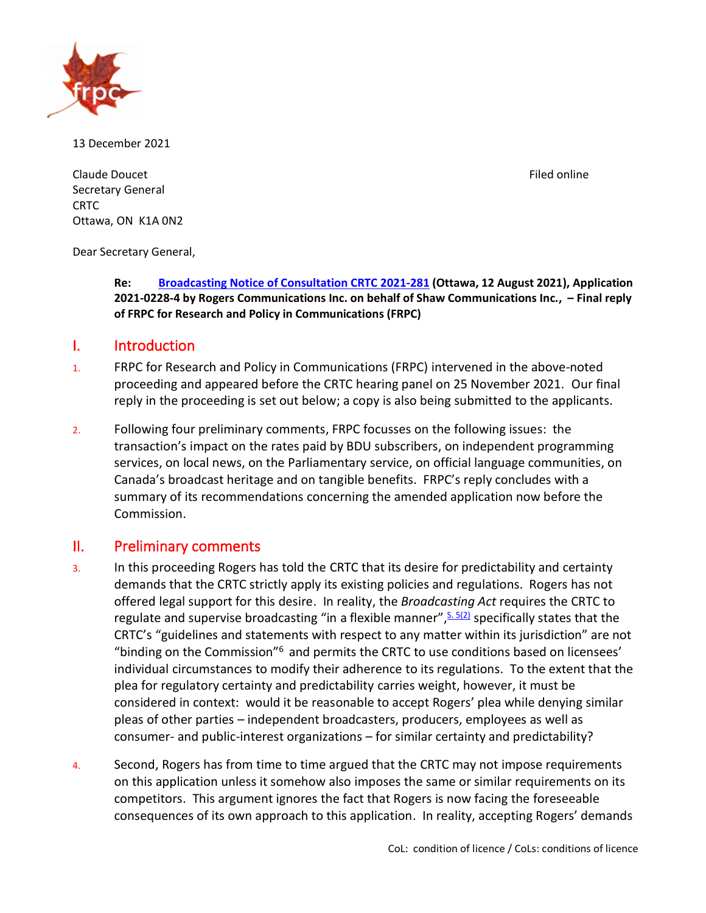

13 December 2021

Claude Doucet **Filed online** Secretary General CRTC Ottawa, ON K1A 0N2

Dear Secretary General,

**Re: [Broadcasting Notice of Consultation CRTC 2021-281](https://crtc.gc.ca/eng/archive/2021/2021-281.htm?&_ga=2.65298534.952927832.1629126134-1211976415.1582553073#bm1) (Ottawa, 12 August 2021), Application 2021-0228-4 by Rogers Communications Inc. on behalf of Shaw Communications Inc., – Final reply of FRPC for Research and Policy in Communications (FRPC)** 

## I. Introduction

- 1. FRPC for Research and Policy in Communications (FRPC) intervened in the above-noted proceeding and appeared before the CRTC hearing panel on 25 November 2021. Our final reply in the proceeding is set out below; a copy is also being submitted to the applicants.
- 2. Following four preliminary comments, FRPC focusses on the following issues: the transaction's impact on the rates paid by BDU subscribers, on independent programming services, on local news, on the Parliamentary service, on official language communities, on Canada's broadcast heritage and on tangible benefits. FRPC's reply concludes with a summary of its recommendations concerning the amended application now before the Commission.

# II. Preliminary comments

- 3. In this proceeding Rogers has told the CRTC that its desire for predictability and certainty demands that the CRTC strictly apply its existing policies and regulations. Rogers has not offered legal support for this desire. In reality, the *Broadcasting Act* requires the CRTC to regulate and supervise broadcasting "in a flexible manner", [S. 5\(2\)](https://laws.justice.gc.ca/eng/acts/B-9.01/FullText.html) specifically states that the CRTC's "guidelines and statements with respect to any matter within its jurisdiction" are not "binding on the Commission"<sup>6</sup> and permits the CRTC to use conditions based on licensees' individual circumstances to modify their adherence to its regulations. To the extent that the plea for regulatory certainty and predictability carries weight, however, it must be considered in context: would it be reasonable to accept Rogers' plea while denying similar pleas of other parties – independent broadcasters, producers, employees as well as consumer- and public-interest organizations – for similar certainty and predictability?
- 4. Second, Rogers has from time to time argued that the CRTC may not impose requirements on this application unless it somehow also imposes the same or similar requirements on its competitors. This argument ignores the fact that Rogers is now facing the foreseeable consequences of its own approach to this application. In reality, accepting Rogers' demands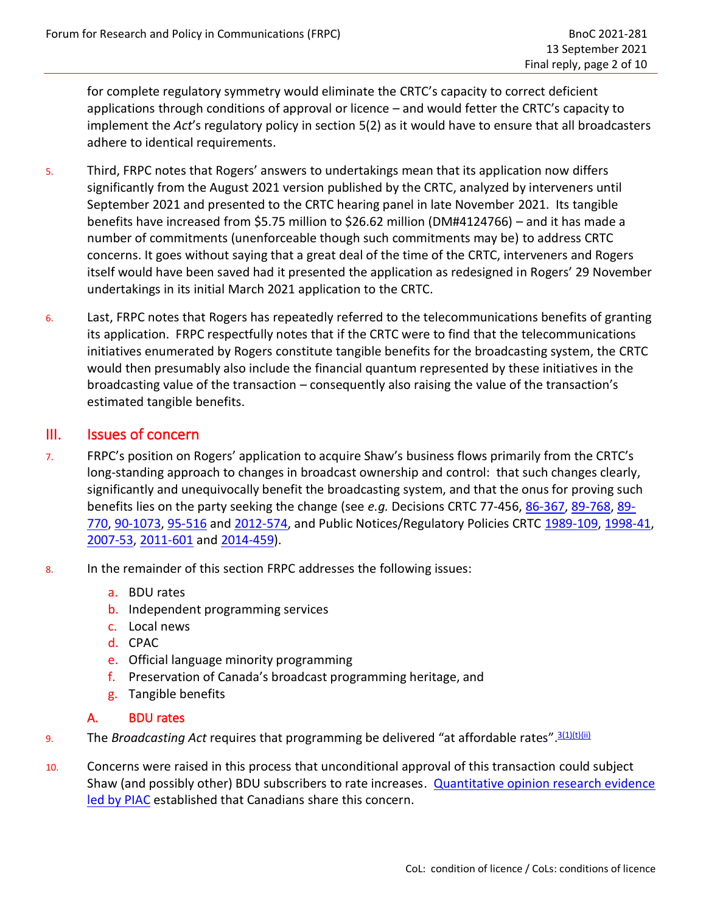for complete regulatory symmetry would eliminate the CRTC's capacity to correct deficient applications through conditions of approval or licence – and would fetter the CRTC's capacity to implement the *Act*'s regulatory policy in section 5(2) as it would have to ensure that all broadcasters adhere to identical requirements.

- 5. Third, FRPC notes that Rogers' answers to undertakings mean that its application now differs significantly from the August 2021 version published by the CRTC, analyzed by interveners until September 2021 and presented to the CRTC hearing panel in late November 2021. Its tangible benefits have increased from \$5.75 million to \$26.62 million (DM#4124766) – and it has made a number of commitments (unenforceable though such commitments may be) to address CRTC concerns. It goes without saying that a great deal of the time of the CRTC, interveners and Rogers itself would have been saved had it presented the application as redesigned in Rogers' 29 November undertakings in its initial March 2021 application to the CRTC.
- 6. Last, FRPC notes that Rogers has repeatedly referred to the telecommunications benefits of granting its application. FRPC respectfully notes that if the CRTC were to find that the telecommunications initiatives enumerated by Rogers constitute tangible benefits for the broadcasting system, the CRTC would then presumably also include the financial quantum represented by these initiatives in the broadcasting value of the transaction – consequently also raising the value of the transaction's estimated tangible benefits.

## III. Issues of concern

- 7. FRPC's position on Rogers' application to acquire Shaw's business flows primarily from the CRTC's long-standing approach to changes in broadcast ownership and control: that such changes clearly, significantly and unequivocally benefit the broadcasting system, and that the onus for proving such benefits lies on the party seeking the change (see *e.g.* Decisions CRTC 77-456, [86-367,](https://crtc.gc.ca/eng/archive/1986/db86-367.htm) [89-768,](https://crtc.gc.ca/eng/archive/1989/DB89-768.htm?_ga=2.227170845.1873505679.1638805375-1211976415.1582553073) [89-](https://crtc.gc.ca/eng/archive/1989/DB89-770.htm?_ga=2.110269701.1873505679.1638805375-1211976415.1582553073) [770,](https://crtc.gc.ca/eng/archive/1989/DB89-770.htm?_ga=2.110269701.1873505679.1638805375-1211976415.1582553073) [90-1073,](https://crtc.gc.ca/eng/archive/1990/DB90-1073.htm) [95-516](https://crtc.gc.ca/eng/archive/1995/DB95-516.htm?_ga=2.113858823.1873505679.1638805375-1211976415.1582553073) and [2012-574,](https://crtc.gc.ca/eng/archive/2012/2012-574.htm?_ga=2.113858823.1873505679.1638805375-1211976415.1582553073) and Public Notices/Regulatory Policies CRTC [1989-109,](https://crtc.gc.ca/eng/archive/1989/pb89-109.htm) [1998-41,](https://crtc.gc.ca/eng/archive/1998/PB98-41.htm?_ga=2.122183051.1873505679.1638805375-1211976415.1582553073) [2007-53,](https://crtc.gc.ca/eng/archive/2007/pb2007-53.htm?_ga=2.112279044.1873505679.1638805375-1211976415.1582553073) [2011-601](https://crtc.gc.ca/eng/archive/2011/2011-601.htm?_ga=2.17322297.1873505679.1638805375-1211976415.1582553073) and [2014-459\)](https://crtc.gc.ca/eng/archive/2014/2014-459.htm?_ga=2.124867082.1873505679.1638805375-1211976415.1582553073).
- 8. In the remainder of this section FRPC addresses the following issues:
	- a. BDU rates
	- b. Independent programming services
	- c. Local news
	- d. CPAC
	- e. Official language minority programming
	- f. Preservation of Canada's broadcast programming heritage, and
	- g. Tangible benefits

#### A. BDU rates

- 9. The *Broadcasting Act* requires that programming be delivered "at affordable rates".<sup>[3\(1\)\(t\)\(ii\)](https://laws.justice.gc.ca/eng/acts/B-9.01/FullText.html)</sup>
- 10. Concerns were raised in this process that unconditional approval of this transaction could subject Shaw (and possibly other) BDU subscribers to rate increases. [Quantitative opinion research evidence](https://services.crtc.gc.ca/pub/ListeInterventionList/Documents.aspx?ID=298618&en=2021-281&dt=i&lang=e&S=O&PA=b&PT=nc&PST=a)  [led by PIAC](https://services.crtc.gc.ca/pub/ListeInterventionList/Documents.aspx?ID=298618&en=2021-281&dt=i&lang=e&S=O&PA=b&PT=nc&PST=a) established that Canadians share this concern.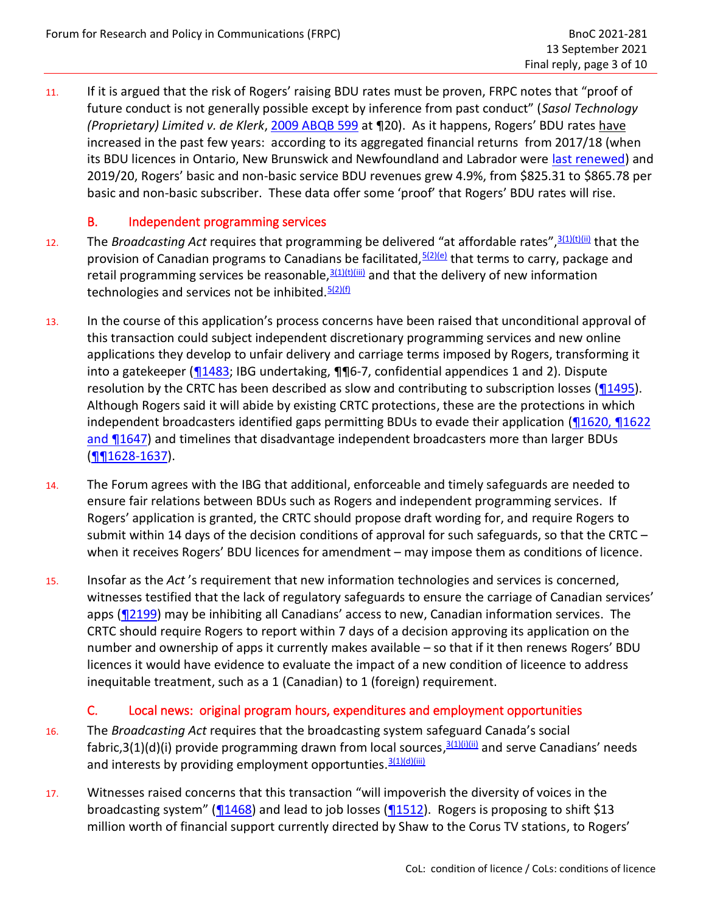11. If it is argued that the risk of Rogers' raising BDU rates must be proven, FRPC notes that "proof of future conduct is not generally possible except by inference from past conduct" (*[Sasol Technology](https://canlii.ca/t/272cz)  [\(Proprietary\) Limited v. de Klerk](https://canlii.ca/t/272cz)*, [2009 ABQB 599](https://canlii.ca/t/272cz) at ¶20). As it happens, Rogers' BDU rates have increased in the past few years: according to its aggregated financial returns from 2017/18 (when its BDU licences in Ontario, New Brunswick and Newfoundland and Labrador were [last renewed\)](https://crtc.gc.ca/eng/archive/2018/2018-265.htm) and 2019/20, Rogers' basic and non-basic service BDU revenues grew 4.9%, from \$825.31 to \$865.78 per basic and non-basic subscriber. These data offer some 'proof' that Rogers' BDU rates will rise.

## B. Independent programming services

- 12. The *Broadcasting Act* requires that programming be delivered "at affordable rates",[3\(1\)\(t\)\(ii\)](https://laws.justice.gc.ca/eng/acts/B-9.01/FullText.html) that the provision of Canadian programs to Canadians be facilitated,  $5(2)(e)$  that terms to carry, package and retail programming services be reasonable,  $\frac{3(1)(t)(iii)}{n}$  $\frac{3(1)(t)(iii)}{n}$  $\frac{3(1)(t)(iii)}{n}$  and that the delivery of new information technologies and services not be inhibited.  $5(2)(f)$
- 13. In the course of this application's process concerns have been raised that unconditional approval of this transaction could subject independent discretionary programming services and new online applications they develop to unfair delivery and carriage terms imposed by Rogers, transforming it into a gatekeeper [\(¶1483;](https://crtc.gc.ca/eng/transcripts/2021/tb11_23.htm) IBG undertaking, ¶¶6-7, confidential appendices 1 and 2). Dispute resolution by the CRTC has been described as slow and contributing to subscription losses (14495). Although Rogers said it will abide by existing CRTC protections, these are the protections in which independent broadcasters identified gaps permitting BDUs to evade their application [\(¶1620, ¶1622](https://crtc.gc.ca/eng/transcripts/2021/tb11_23.htm) [and ¶1647\)](https://crtc.gc.ca/eng/transcripts/2021/tb11_23.htm) and timelines that disadvantage independent broadcasters more than larger BDUs [\(¶¶1628-1637\)](https://crtc.gc.ca/eng/transcripts/2021/tb11_23.htm).
- 14. The Forum agrees with the IBG that additional, enforceable and timely safeguards are needed to ensure fair relations between BDUs such as Rogers and independent programming services. If Rogers' application is granted, the CRTC should propose draft wording for, and require Rogers to submit within 14 days of the decision conditions of approval for such safeguards, so that the CRTC – when it receives Rogers' BDU licences for amendment – may impose them as conditions of licence.
- 15. Insofar as the *Act* 's requirement that new information technologies and services is concerned, witnesses testified that the lack of regulatory safeguards to ensure the carriage of Canadian services' apps (12199) may be inhibiting all Canadians' access to new, Canadian information services. The CRTC should require Rogers to report within 7 days of a decision approving its application on the number and ownership of apps it currently makes available – so that if it then renews Rogers' BDU licences it would have evidence to evaluate the impact of a new condition of liceence to address inequitable treatment, such as a 1 (Canadian) to 1 (foreign) requirement.

## C. Local news: original program hours, expenditures and employment opportunities

- 16. The *Broadcasting Act* requires that the broadcasting system safeguard Canada's social fabric,3(1)(d)(i) provide programming drawn from local sources,<sup>[3\(1\)\(i\)\(ii\)](https://laws.justice.gc.ca/eng/acts/B-9.01/FullText.html)</sup> and serve Canadians' needs and interests by providing employment opportunties.  $\frac{3(1)(d)(iii)}{2}$  $\frac{3(1)(d)(iii)}{2}$  $\frac{3(1)(d)(iii)}{2}$
- 17. Witnesses raised concerns that this transaction "will impoverish the diversity of voices in the broadcasting system" ( $\frac{1468}{1468}$ ) and lead to job losses ( $\frac{1512}{1512}$ ). Rogers is proposing to shift \$13 million worth of financial support currently directed by Shaw to the Corus TV stations, to Rogers'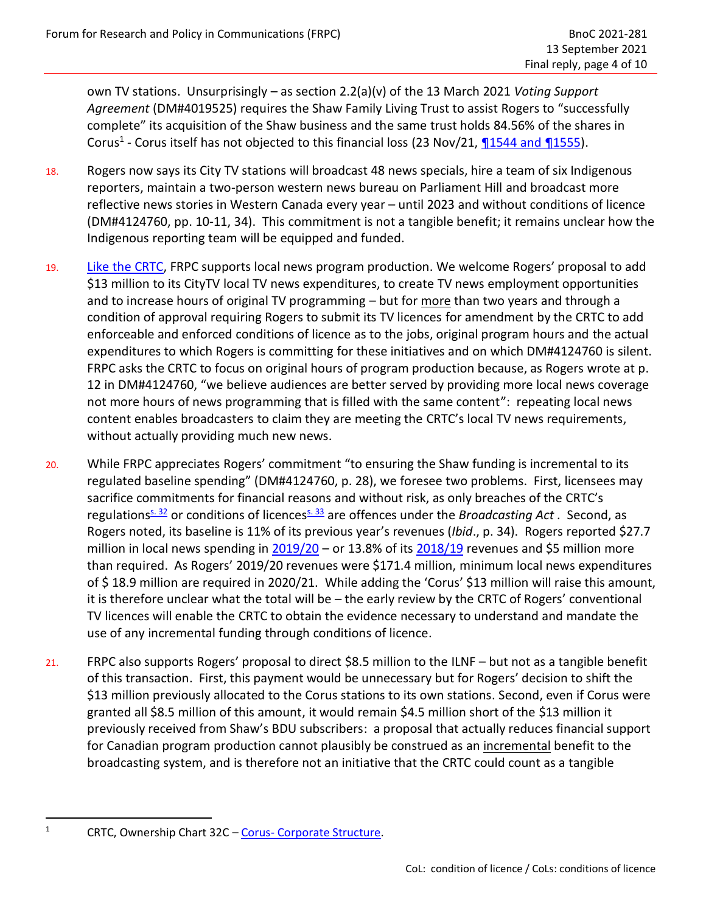own TV stations. Unsurprisingly – as section 2.2(a)(v) of the 13 March 2021 *Voting Support Agreement* (DM#4019525) requires the Shaw Family Living Trust to assist Rogers to "successfully complete" its acquisition of the Shaw business and the same trust holds 84.56% of the shares in Corus<sup>1</sup> - Corus itself has not objected to this financial loss (23 Nov/21, **¶1544 and ¶1555**).

- 18. Rogers now says its City TV stations will broadcast 48 news specials, hire a team of six Indigenous reporters, maintain a two-person western news bureau on Parliament Hill and broadcast more reflective news stories in Western Canada every year – until 2023 and without conditions of licence (DM#4124760, pp. 10-11, 34). This commitment is not a tangible benefit; it remains unclear how the Indigenous reporting team will be equipped and funded.
- 19. [Like the CRTC,](https://crtc.gc.ca/eng/archive/2016/2016-224.htm) FRPC supports local news program production. We welcome Rogers' proposal to add \$13 million to its CityTV local TV news expenditures, to create TV news employment opportunities and to increase hours of original TV programming – but for more than two years and through a condition of approval requiring Rogers to submit its TV licences for amendment by the CRTC to add enforceable and enforced conditions of licence as to the jobs, original program hours and the actual expenditures to which Rogers is committing for these initiatives and on which DM#4124760 is silent. FRPC asks the CRTC to focus on original hours of program production because, as Rogers wrote at p. 12 in DM#4124760, "we believe audiences are better served by providing more local news coverage not more hours of news programming that is filled with the same content": repeating local news content enables broadcasters to claim they are meeting the CRTC's local TV news requirements, without actually providing much new news.
- 20. While FRPC appreciates Rogers' commitment "to ensuring the Shaw funding is incremental to its regulated baseline spending" (DM#4124760, p. 28), we foresee two problems. First, licensees may sacrifice commitments for financial reasons and without risk, as only breaches of the CRTC's regulations<sup>[s. 32](https://laws.justice.gc.ca/eng/acts/B-9.01/page-4.html#h-34495)</sup> or conditions of licences<sup>[s. 33](https://laws.justice.gc.ca/eng/acts/B-9.01/page-4.html#h-34495)</sup> are offences under the *Broadcasting Act* . Second, as Rogers noted, its baseline is 11% of its previous year's revenues (*Ibid*., p. 34). Rogers reported \$27.7 million in local news spending in  $2019/20$  – or 13.8% of its  $2018/19$  revenues and \$5 million more than required. As Rogers' 2019/20 revenues were \$171.4 million, minimum local news expenditures of \$ 18.9 million are required in 2020/21. While adding the 'Corus' \$13 million will raise this amount, it is therefore unclear what the total will be – the early review by the CRTC of Rogers' conventional TV licences will enable the CRTC to obtain the evidence necessary to understand and mandate the use of any incremental funding through conditions of licence.
- 21. FRPC also supports Rogers' proposal to direct \$8.5 million to the ILNF but not as a tangible benefit of this transaction. First, this payment would be unnecessary but for Rogers' decision to shift the \$13 million previously allocated to the Corus stations to its own stations. Second, even if Corus were granted all \$8.5 million of this amount, it would remain \$4.5 million short of the \$13 million it previously received from Shaw's BDU subscribers: a proposal that actually reduces financial support for Canadian program production cannot plausibly be construed as an incremental benefit to the broadcasting system, and is therefore not an initiative that the CRTC could count as a tangible

<sup>1</sup> CRTC, Ownership Chart 32C – Corus- [Corporate Structure.](https://crtc.gc.ca/ownership/eng/cht032c.pdf)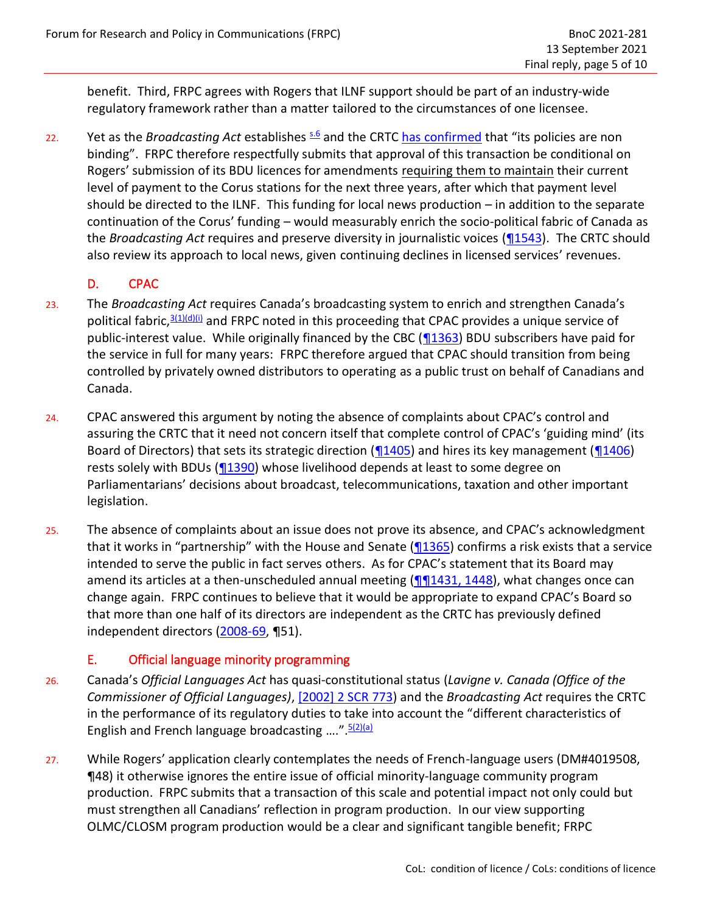benefit. Third, FRPC agrees with Rogers that ILNF support should be part of an industry-wide regulatory framework rather than a matter tailored to the circumstances of one licensee.

22. Yet as the *Broadcasting Act* establishes  $\frac{s.6}{s}$  $\frac{s.6}{s}$  $\frac{s.6}{s}$  and the CRTC [has confirmed](https://crtc.gc.ca/eng/archive/2016/2016-8.htm?_ga=2.81369751.1873505679.1638805375-1211976415.1582553073) that "its policies are non binding". FRPC therefore respectfully submits that approval of this transaction be conditional on Rogers' submission of its BDU licences for amendments requiring them to maintain their current level of payment to the Corus stations for the next three years, after which that payment level should be directed to the ILNF. This funding for local news production – in addition to the separate continuation of the Corus' funding – would measurably enrich the socio-political fabric of Canada as the *Broadcasting Act* requires and preserve diversity in journalistic voices [\(¶1543\)](https://crtc.gc.ca/eng/transcripts/2021/tb11_23.htm). The CRTC should also review its approach to local news, given continuing declines in licensed services' revenues.

## D. CPAC

- 23. The *Broadcasting Act* requires Canada's broadcasting system to enrich and strengthen Canada's political fabric,  $3(1)(d)(i)$  and FRPC noted in this proceeding that CPAC provides a unique service of public-interest value. While originally financed by the CBC [\(¶1363\)](https://crtc.gc.ca/eng/transcripts/2021/tb11_23.htm) BDU subscribers have paid for the service in full for many years: FRPC therefore argued that CPAC should transition from being controlled by privately owned distributors to operating as a public trust on behalf of Canadians and Canada.
- 24. CPAC answered this argument by noting the absence of complaints about CPAC's control and assuring the CRTC that it need not concern itself that complete control of CPAC's 'guiding mind' (its Board of Directors) that sets its strategic direction [\(¶1405\)](https://crtc.gc.ca/eng/transcripts/2021/tb11_23.htm) and hires its key management [\(¶1406\)](https://crtc.gc.ca/eng/transcripts/2021/tb11_23.htm) rests solely with BDUs (1390) whose livelihood depends at least to some degree on Parliamentarians' decisions about broadcast, telecommunications, taxation and other important legislation.
- 25. The absence of complaints about an issue does not prove its absence, and CPAC's acknowledgment that it works in "partnership" with the House and Senate  $(\sqrt{1365})$  confirms a risk exists that a service intended to serve the public in fact serves others. As for CPAC's statement that its Board may amend its articles at a then-unscheduled annual meeting  $(\sqrt{\eta}1431, 1448)$ , what changes once can change again. FRPC continues to believe that it would be appropriate to expand CPAC's Board so that more than one half of its directors are independent as the CRTC has previously defined independent directors [\(2008-69,](https://crtc.gc.ca/eng/archive/2008/db2008-69.htm?_ga=2.12664119.1873505679.1638805375-1211976415.1582553073) ¶51).

## E. Official language minority programming

- 26. Canada's *Official Languages Act* has quasi-constitutional status (*Lavigne v. Canada (Office of the Commissioner of Official Languages)*, [\[2002\] 2 SCR 773\)](https://canlii.ca/t/51qz) and the *Broadcasting Act* requires the CRTC in the performance of its regulatory duties to take into account the "different characteristics of English and French language broadcasting ...." [5\(2\)\(a\)](https://laws.justice.gc.ca/eng/acts/B-9.01/FullText.html)
- 27. While Rogers' application clearly contemplates the needs of French-language users (DM#4019508, ¶48) it otherwise ignores the entire issue of official minority-language community program production. FRPC submits that a transaction of this scale and potential impact not only could but must strengthen all Canadians' reflection in program production. In our view supporting OLMC/CLOSM program production would be a clear and significant tangible benefit; FRPC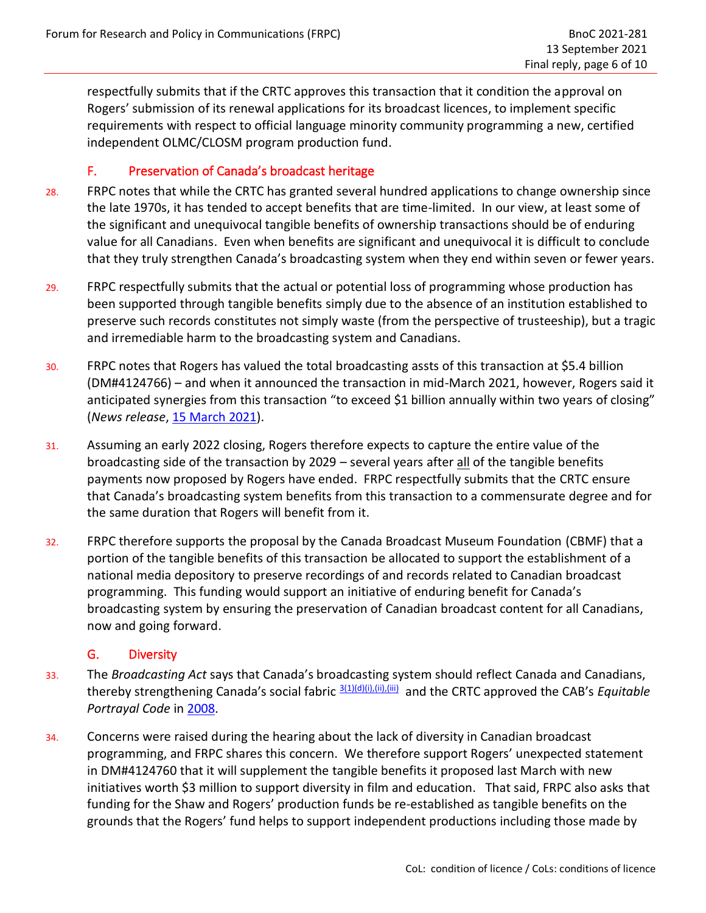respectfully submits that if the CRTC approves this transaction that it condition the approval on Rogers' submission of its renewal applications for its broadcast licences, to implement specific requirements with respect to official language minority community programming a new, certified independent OLMC/CLOSM program production fund.

#### F. Preservation of Canada's broadcast heritage

- 28. FRPC notes that while the CRTC has granted several hundred applications to change ownership since the late 1970s, it has tended to accept benefits that are time-limited. In our view, at least some of the significant and unequivocal tangible benefits of ownership transactions should be of enduring value for all Canadians. Even when benefits are significant and unequivocal it is difficult to conclude that they truly strengthen Canada's broadcasting system when they end within seven or fewer years.
- 29. FRPC respectfully submits that the actual or potential loss of programming whose production has been supported through tangible benefits simply due to the absence of an institution established to preserve such records constitutes not simply waste (from the perspective of trusteeship), but a tragic and irremediable harm to the broadcasting system and Canadians.
- 30. FRPC notes that Rogers has valued the total broadcasting assts of this transaction at \$5.4 billion (DM#4124766) – and when it announced the transaction in mid-March 2021, however, Rogers said it anticipated synergies from this transaction "to exceed \$1 billion annually within two years of closing" (*News release*, [15 March 2021\)](https://www.sec.gov/Archives/edgar/data/932872/000119312521080619/d140608dex99.htm).
- 31. Assuming an early 2022 closing, Rogers therefore expects to capture the entire value of the broadcasting side of the transaction by 2029 – several years after all of the tangible benefits payments now proposed by Rogers have ended. FRPC respectfully submits that the CRTC ensure that Canada's broadcasting system benefits from this transaction to a commensurate degree and for the same duration that Rogers will benefit from it.
- 32. FRPC therefore supports the proposal by the Canada Broadcast Museum Foundation (CBMF) that a portion of the tangible benefits of this transaction be allocated to support the establishment of a national media depository to preserve recordings of and records related to Canadian broadcast programming. This funding would support an initiative of enduring benefit for Canada's broadcasting system by ensuring the preservation of Canadian broadcast content for all Canadians, now and going forward.

#### G. Diversity

- 33. The *Broadcasting Act* says that Canada's broadcasting system should reflect Canada and Canadians, thereby strengthening Canada's social fabric 3<sup>(1)(d)(ii),(ii)</sup>, and the CRTC approved the CAB's *Equitable Portrayal Code* in [2008.](https://crtc.gc.ca/eng/archive/2008/pb2008-23.htm)
- 34. Concerns were raised during the hearing about the lack of diversity in Canadian broadcast programming, and FRPC shares this concern. We therefore support Rogers' unexpected statement in DM#4124760 that it will supplement the tangible benefits it proposed last March with new initiatives worth \$3 million to support diversity in film and education. That said, FRPC also asks that funding for the Shaw and Rogers' production funds be re-established as tangible benefits on the grounds that the Rogers' fund helps to support independent productions including those made by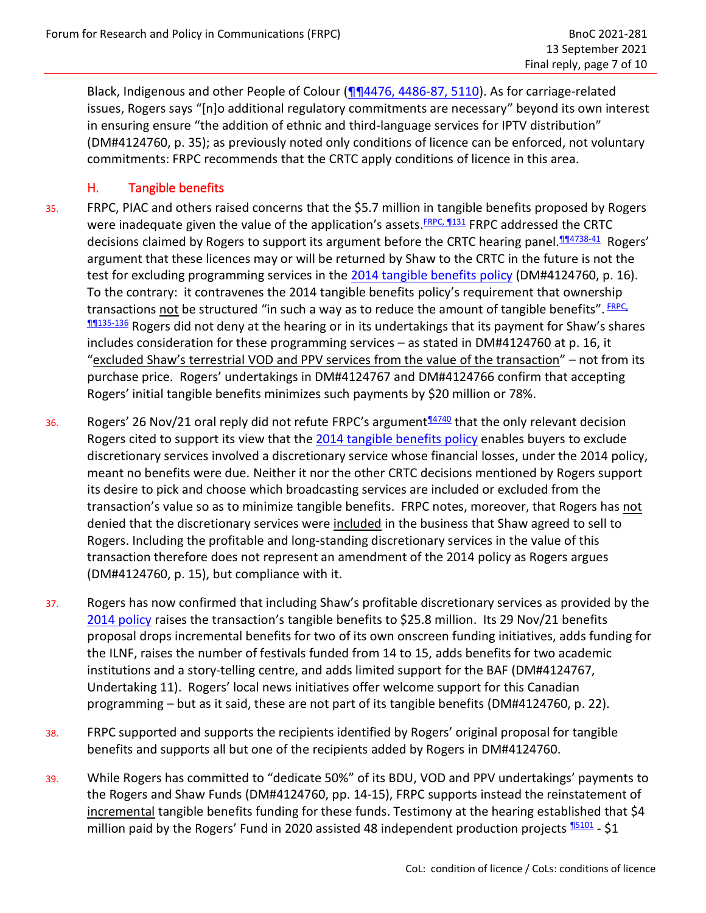Black, Indigenous and other People of Colour [\(¶¶4476, 4486-87,](https://crtc.gc.ca/eng/transcripts/2021/tb11_25.htm) 5110). As for carriage-related issues, Rogers says "[n]o additional regulatory commitments are necessary" beyond its own interest in ensuring ensure "the addition of ethnic and third-language services for IPTV distribution" (DM#4124760, p. 35); as previously noted only conditions of licence can be enforced, not voluntary commitments: FRPC recommends that the CRTC apply conditions of licence in this area.

### H. Tangible benefits

- 35. FRPC, PIAC and others raised concerns that the \$5.7 million in tangible benefits proposed by Rogers were inadequate given the value of the application's assets. **[FRPC,](https://services.crtc.gc.ca/pub/ListeInterventionList/Documents.aspx?ID=298611&en=2021-281&dt=i&lang=e&S=O&PA=b&PT=nc&PST=a) 1131** FRPC addressed the CRTC decisions claimed by Rogers to support its argument before the CRTC hearing panel.<sup>1114738-41</sup> Rogers' argument that these licences may or will be returned by Shaw to the CRTC in the future is not the test for excluding programming services in the [2014 tangible benefits](https://crtc.gc.ca/eng/archive/2014/2014-459.htm) policy (DM#4124760, p. 16). To the contrary: it contravenes the 2014 tangible benefits policy's requirement that ownership transactions <u>not</u> be structured "in such a way as to reduce the amount of tangible benefits". *ERPC,* **M135-136** Rogers did not deny at the hearing or in its undertakings that its payment for Shaw's shares includes consideration for these programming services – as stated in DM#4124760 at p. 16, it "excluded Shaw's terrestrial VOD and PPV services from the value of the transaction" – not from its purchase price. Rogers' undertakings in DM#4124767 and DM#4124766 confirm that accepting Rogers' initial tangible benefits minimizes such payments by \$20 million or 78%.
- 36. Rogers' 26 Nov/21 oral reply did not refute FRPC's argument $\frac{14740}{4740}$  that the only relevant decision Rogers cited to support its view that the [2014 tangible benefits](https://crtc.gc.ca/eng/archive/2014/2014-459.htm) policy enables buyers to exclude discretionary services involved a discretionary service whose financial losses, under the 2014 policy, meant no benefits were due. Neither it nor the other CRTC decisions mentioned by Rogers support its desire to pick and choose which broadcasting services are included or excluded from the transaction's value so as to minimize tangible benefits. FRPC notes, moreover, that Rogers has not denied that the discretionary services were included in the business that Shaw agreed to sell to Rogers. Including the profitable and long-standing discretionary services in the value of this transaction therefore does not represent an amendment of the 2014 policy as Rogers argues (DM#4124760, p. 15), but compliance with it.
- 37. Rogers has now confirmed that including Shaw's profitable discretionary services as provided by the [2014 policy](https://crtc.gc.ca/eng/archive/2014/2014-459.htm) raises the transaction's tangible benefits to \$25.8 million. Its 29 Nov/21 benefits proposal drops incremental benefits for two of its own onscreen funding initiatives, adds funding for the ILNF, raises the number of festivals funded from 14 to 15, adds benefits for two academic institutions and a story-telling centre, and adds limited support for the BAF (DM#4124767, Undertaking 11). Rogers' local news initiatives offer welcome support for this Canadian programming – but as it said, these are not part of its tangible benefits (DM#4124760, p. 22).
- 38. FRPC supported and supports the recipients identified by Rogers' original proposal for tangible benefits and supports all but one of the recipients added by Rogers in DM#4124760.
- 39. While Rogers has committed to "dedicate 50%" of its BDU, VOD and PPV undertakings' payments to the Rogers and Shaw Funds (DM#4124760, pp. 14-15), FRPC supports instead the reinstatement of incremental tangible benefits funding for these funds. Testimony at the hearing established that \$4 million paid by the Rogers' Fund in 2020 assisted 48 independent production projects  $\frac{15101}{2}$  - \$1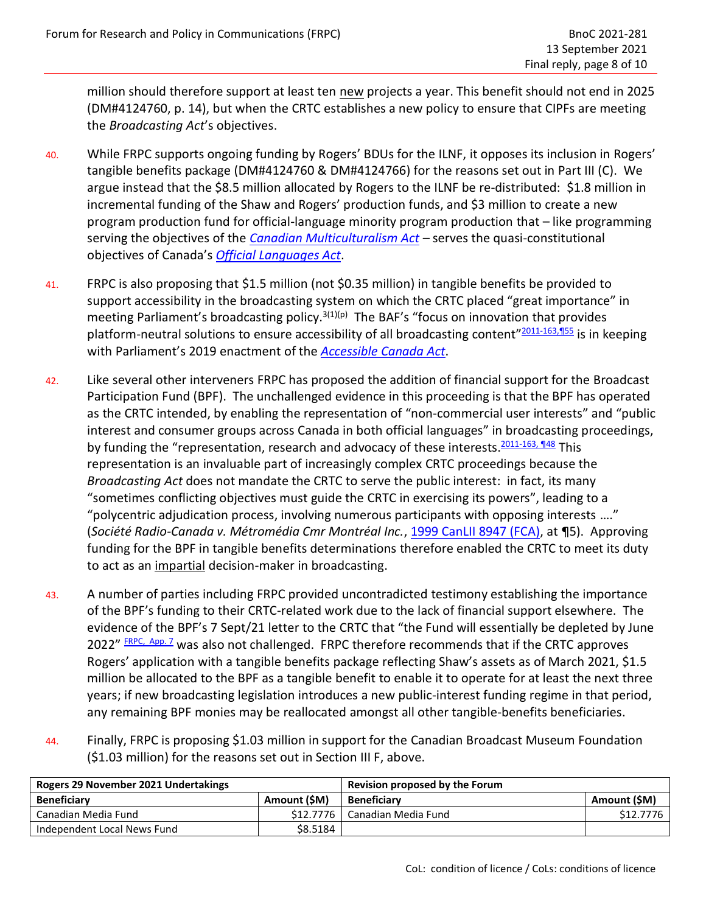million should therefore support at least ten new projects a year. This benefit should not end in 2025 (DM#4124760, p. 14), but when the CRTC establishes a new policy to ensure that CIPFs are meeting the *Broadcasting Act*'s objectives.

- 40. While FRPC supports ongoing funding by Rogers' BDUs for the ILNF, it opposes its inclusion in Rogers' tangible benefits package (DM#4124760 & DM#4124766) for the reasons set out in Part III (C). We argue instead that the \$8.5 million allocated by Rogers to the ILNF be re-distributed: \$1.8 million in incremental funding of the Shaw and Rogers' production funds, and \$3 million to create a new program production fund for official-language minority program production that – like programming serving the objectives of the *Canadian [Multiculturalism Act](https://laws.justice.gc.ca/eng/acts/C-18.7/) –* serves the quasi-constitutional objectives of Canada's *[Official Languages Act](https://laws.justice.gc.ca/eng/acts/O-3.01/)*.
- 41. FRPC is also proposing that \$1.5 million (not \$0.35 million) in tangible benefits be provided to support accessibility in the broadcasting system on which the CRTC placed "great importance" in meeting Parliament's broadcasting policy.<sup>3(1)(p)</sup> The BAF's "focus on innovation that provides platform-neutral solutions to ensure accessibility of all broadcasting content"<sup>[2011-163,¶55](https://crtc.gc.ca/eng/archive/2011/2011-163.htm)</sup> is in keeping with Parliament's 2019 enactment of the *[Accessible Canada Act](https://laws.justice.gc.ca/eng/acts/A-0.6/)*.
- 42. Like several other interveners FRPC has proposed the addition of financial support for the Broadcast Participation Fund (BPF). The unchallenged evidence in this proceeding is that the BPF has operated as the CRTC intended, by enabling the representation of "non-commercial user interests" and "public interest and consumer groups across Canada in both official languages" in broadcasting proceedings, by funding the "representation, research and advocacy of these interests.<sup>2011-163,</sup> 148 This representation is an invaluable part of increasingly complex CRTC proceedings because the *Broadcasting Act* does not mandate the CRTC to serve the public interest: in fact, its many "sometimes conflicting objectives must guide the CRTC in exercising its powers", leading to a "polycentric adjudication process, involving numerous participants with opposing interests …." (*Société Radio-Canada v. Métromédia Cmr Montréal Inc.*, [1999 CanLII 8947 \(FCA\),](https://canlii.ca/t/4lkb) at ¶5). Approving funding for the BPF in tangible benefits determinations therefore enabled the CRTC to meet its duty to act as an impartial decision-maker in broadcasting.
- 43. A number of parties including FRPC provided uncontradicted testimony establishing the importance of the BPF's funding to their CRTC-related work due to the lack of financial support elsewhere. The evidence of the BPF's 7 Sept/21 letter to the CRTC that "the Fund will essentially be depleted by June 2022" *ERPC, App. 7* was also not challenged. FRPC therefore recommends that if the CRTC approves Rogers' application with a tangible benefits package reflecting Shaw's assets as of March 2021, \$1.5 million be allocated to the BPF as a tangible benefit to enable it to operate for at least the next three years; if new broadcasting legislation introduces a new public-interest funding regime in that period, any remaining BPF monies may be reallocated amongst all other tangible-benefits beneficiaries.
- 44. Finally, FRPC is proposing \$1.03 million in support for the Canadian Broadcast Museum Foundation (\$1.03 million) for the reasons set out in Section III F, above.

| Rogers 29 November 2021 Undertakings |              | Revision proposed by the Forum |              |
|--------------------------------------|--------------|--------------------------------|--------------|
| <b>Beneficiary</b>                   | Amount (\$M) | <b>Beneficiary</b>             | Amount (\$M) |
| Canadian Media Fund                  | \$12,7776    | Canadian Media Fund            | \$12,7776    |
| Independent Local News Fund          | \$8.5184     |                                |              |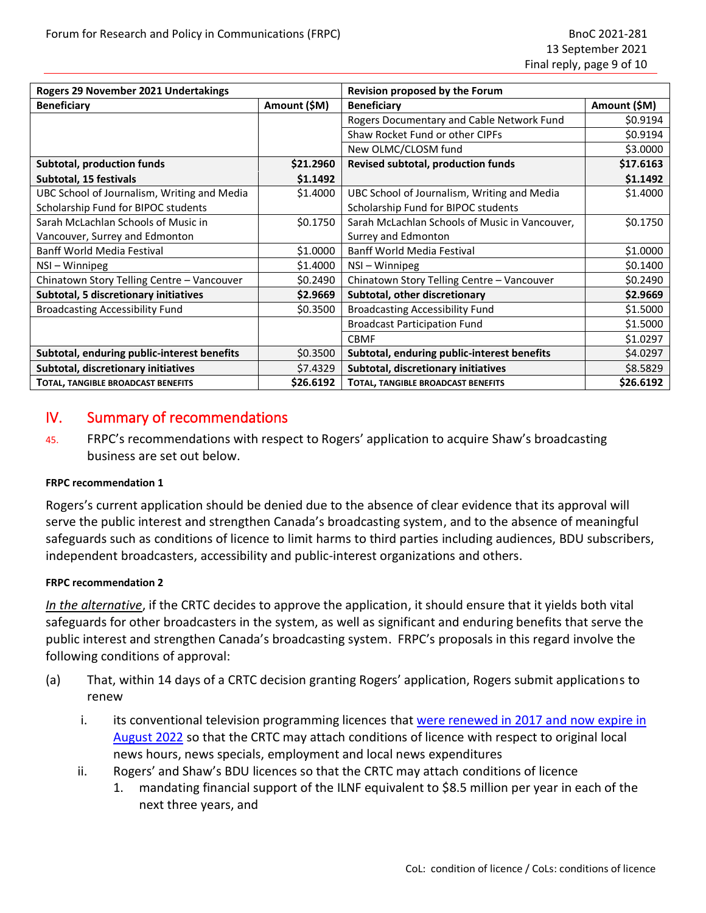| Rogers 29 November 2021 Undertakings        |              | Revision proposed by the Forum                 |              |
|---------------------------------------------|--------------|------------------------------------------------|--------------|
| <b>Beneficiary</b>                          | Amount (\$M) | <b>Beneficiary</b>                             | Amount (\$M) |
|                                             |              | Rogers Documentary and Cable Network Fund      | \$0.9194     |
|                                             |              | Shaw Rocket Fund or other CIPFs                | \$0.9194     |
|                                             |              | New OLMC/CLOSM fund                            | \$3.0000     |
| <b>Subtotal, production funds</b>           | \$21.2960    | Revised subtotal, production funds             | \$17.6163    |
| Subtotal, 15 festivals                      | \$1.1492     |                                                | \$1.1492     |
| UBC School of Journalism, Writing and Media | \$1.4000     | UBC School of Journalism, Writing and Media    | \$1.4000     |
| Scholarship Fund for BIPOC students         |              | Scholarship Fund for BIPOC students            |              |
| Sarah McLachlan Schools of Music in         | \$0.1750     | Sarah McLachlan Schools of Music in Vancouver, | \$0.1750     |
| Vancouver, Surrey and Edmonton              |              | Surrey and Edmonton                            |              |
| <b>Banff World Media Festival</b>           | \$1.0000     | <b>Banff World Media Festival</b>              | \$1.0000     |
| NSI-Winnipeg                                | \$1.4000     | NSI-Winnipeg                                   | \$0.1400     |
| Chinatown Story Telling Centre - Vancouver  | \$0.2490     | Chinatown Story Telling Centre - Vancouver     | \$0.2490     |
| Subtotal, 5 discretionary initiatives       | \$2.9669     | Subtotal, other discretionary                  | \$2.9669     |
| <b>Broadcasting Accessibility Fund</b>      | \$0.3500     | <b>Broadcasting Accessibility Fund</b>         | \$1.5000     |
|                                             |              | <b>Broadcast Participation Fund</b>            | \$1.5000     |
|                                             |              | <b>CBMF</b>                                    | \$1.0297     |
| Subtotal, enduring public-interest benefits | \$0.3500     | Subtotal, enduring public-interest benefits    | \$4.0297     |
| Subtotal, discretionary initiatives         | \$7.4329     | Subtotal, discretionary initiatives            | \$8.5829     |
| TOTAL, TANGIBLE BROADCAST BENEFITS          | \$26.6192    | TOTAL, TANGIBLE BROADCAST BENEFITS             | \$26.6192    |

# IV. Summary of recommendations

45. FRPC's recommendations with respect to Rogers' application to acquire Shaw's broadcasting business are set out below.

#### **FRPC recommendation 1**

Rogers's current application should be denied due to the absence of clear evidence that its approval will serve the public interest and strengthen Canada's broadcasting system, and to the absence of meaningful safeguards such as conditions of licence to limit harms to third parties including audiences, BDU subscribers, independent broadcasters, accessibility and public-interest organizations and others.

#### **FRPC recommendation 2**

*In the alternative*, if the CRTC decides to approve the application, it should ensure that it yields both vital safeguards for other broadcasters in the system, as well as significant and enduring benefits that serve the public interest and strengthen Canada's broadcasting system. FRPC's proposals in this regard involve the following conditions of approval:

- (a) That, within 14 days of a CRTC decision granting Rogers' application, Rogers submit applications to renew
	- i. its conventional television programming licences that [were renewed in 2017 and now expire in](https://crtc.gc.ca/eng/archive/2017/2017-151.htm)  [August 2022](https://crtc.gc.ca/eng/archive/2017/2017-151.htm) so that the CRTC may attach conditions of licence with respect to original local news hours, news specials, employment and local news expenditures
	- ii. Rogers' and Shaw's BDU licences so that the CRTC may attach conditions of licence
		- 1. mandating financial support of the ILNF equivalent to \$8.5 million per year in each of the next three years, and